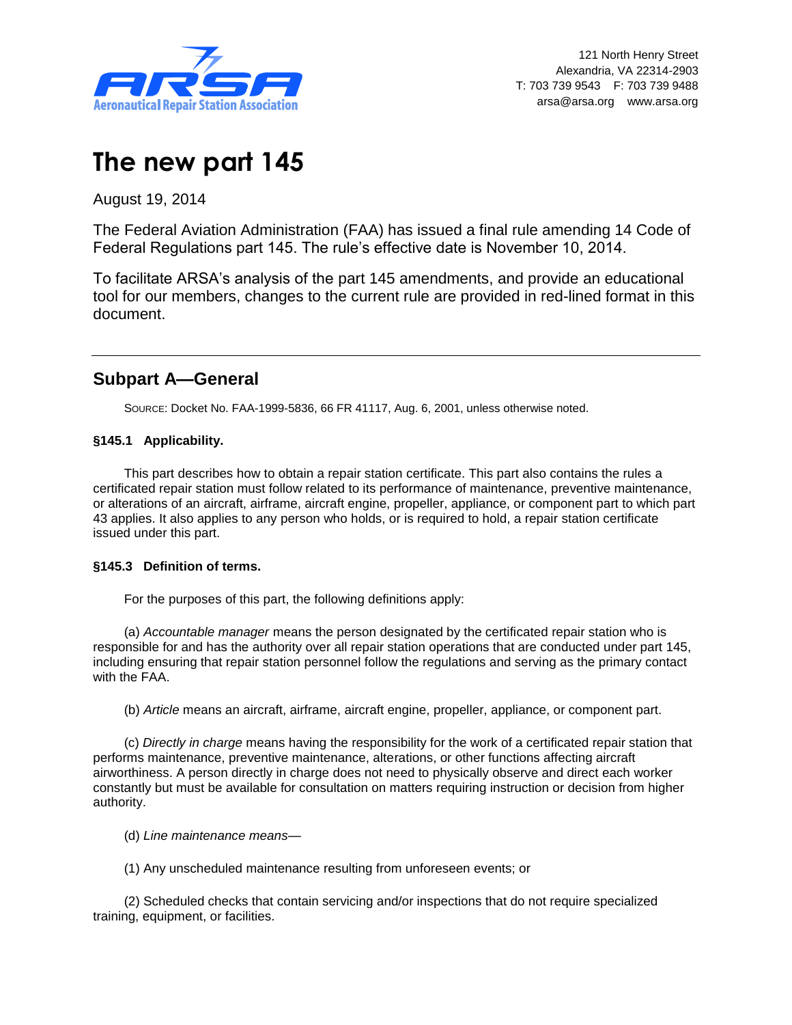

121 North Henry Street Alexandria, VA 22314-2903 T: 703 739 9543 F: 703 739 9488 arsa@arsa.org www.arsa.org

# **The new part 145**

August 19, 2014

The Federal Aviation Administration (FAA) has issued a final rule amending 14 Code of Federal Regulations part 145. The rule's effective date is November 10, 2014.

To facilitate ARSA's analysis of the part 145 amendments, and provide an educational tool for our members, changes to the current rule are provided in red-lined format in this document.

# **Subpart A—General**

SOURCE: Docket No. FAA-1999-5836, 66 FR 41117, Aug. 6, 2001, unless otherwise noted.

# **§145.1 Applicability.**

This part describes how to obtain a repair station certificate. This part also contains the rules a certificated repair station must follow related to its performance of maintenance, preventive maintenance, or alterations of an aircraft, airframe, aircraft engine, propeller, appliance, or component part to which part 43 applies. It also applies to any person who holds, or is required to hold, a repair station certificate issued under this part.

# **§145.3 Definition of terms.**

For the purposes of this part, the following definitions apply:

(a) *Accountable manager* means the person designated by the certificated repair station who is responsible for and has the authority over all repair station operations that are conducted under part 145, including ensuring that repair station personnel follow the regulations and serving as the primary contact with the FAA.

(b) *Article* means an aircraft, airframe, aircraft engine, propeller, appliance, or component part.

(c) *Directly in charge* means having the responsibility for the work of a certificated repair station that performs maintenance, preventive maintenance, alterations, or other functions affecting aircraft airworthiness. A person directly in charge does not need to physically observe and direct each worker constantly but must be available for consultation on matters requiring instruction or decision from higher authority.

(d) *Line maintenance means*—

(1) Any unscheduled maintenance resulting from unforeseen events; or

(2) Scheduled checks that contain servicing and/or inspections that do not require specialized training, equipment, or facilities.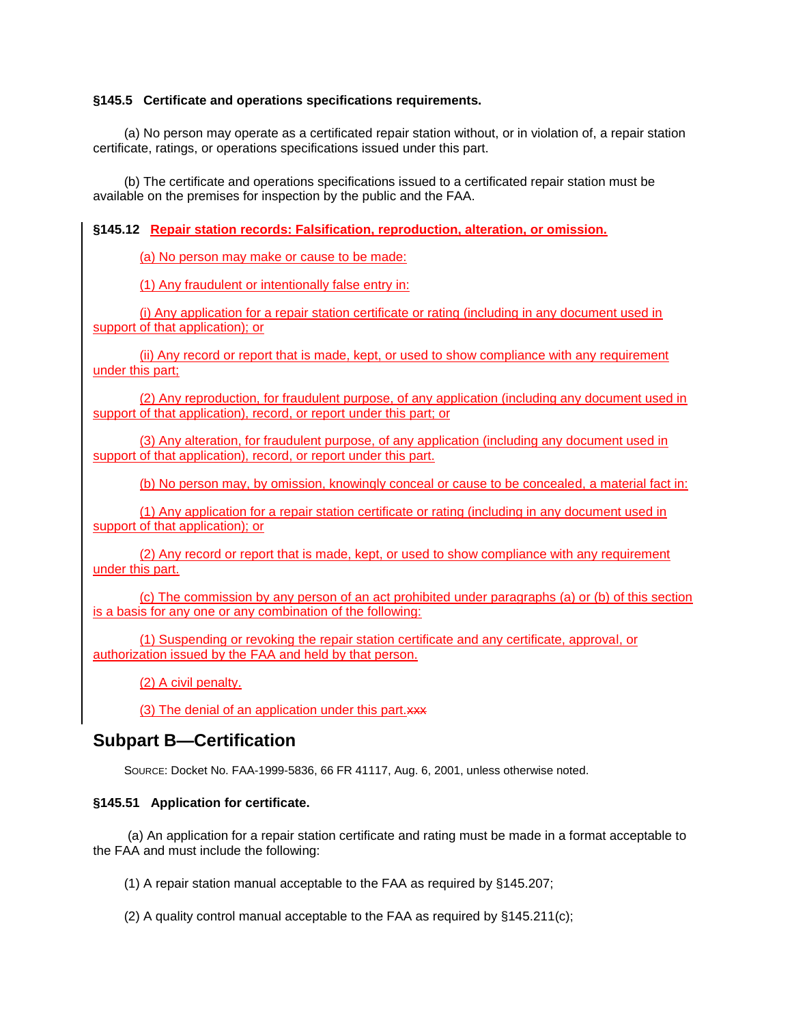# **§145.5 Certificate and operations specifications requirements.**

(a) No person may operate as a certificated repair station without, or in violation of, a repair station certificate, ratings, or operations specifications issued under this part.

(b) The certificate and operations specifications issued to a certificated repair station must be available on the premises for inspection by the public and the FAA.

# **§145.12 Repair station records: Falsification, reproduction, alteration, or omission.**

(a) No person may make or cause to be made:

(1) Any fraudulent or intentionally false entry in:

(i) Any application for a repair station certificate or rating (including in any document used in support of that application); or

(ii) Any record or report that is made, kept, or used to show compliance with any requirement under this part;

(2) Any reproduction, for fraudulent purpose, of any application (including any document used in support of that application), record, or report under this part; or

(3) Any alteration, for fraudulent purpose, of any application (including any document used in support of that application), record, or report under this part.

(b) No person may, by omission, knowingly conceal or cause to be concealed, a material fact in:

(1) Any application for a repair station certificate or rating (including in any document used in support of that application); or

(2) Any record or report that is made, kept, or used to show compliance with any requirement under this part.

(c) The commission by any person of an act prohibited under paragraphs (a) or (b) of this section is a basis for any one or any combination of the following:

(1) Suspending or revoking the repair station certificate and any certificate, approval, or authorization issued by the FAA and held by that person.

(2) A civil penalty.

(3) The denial of an application under this part. \*\*\*

# **Subpart B—Certification**

SOURCE: Docket No. FAA-1999-5836, 66 FR 41117, Aug. 6, 2001, unless otherwise noted.

## **§145.51 Application for certificate.**

(a) An application for a repair station certificate and rating must be made in a format acceptable to the FAA and must include the following:

(1) A repair station manual acceptable to the FAA as required by §145.207;

(2) A quality control manual acceptable to the FAA as required by §145.211(c);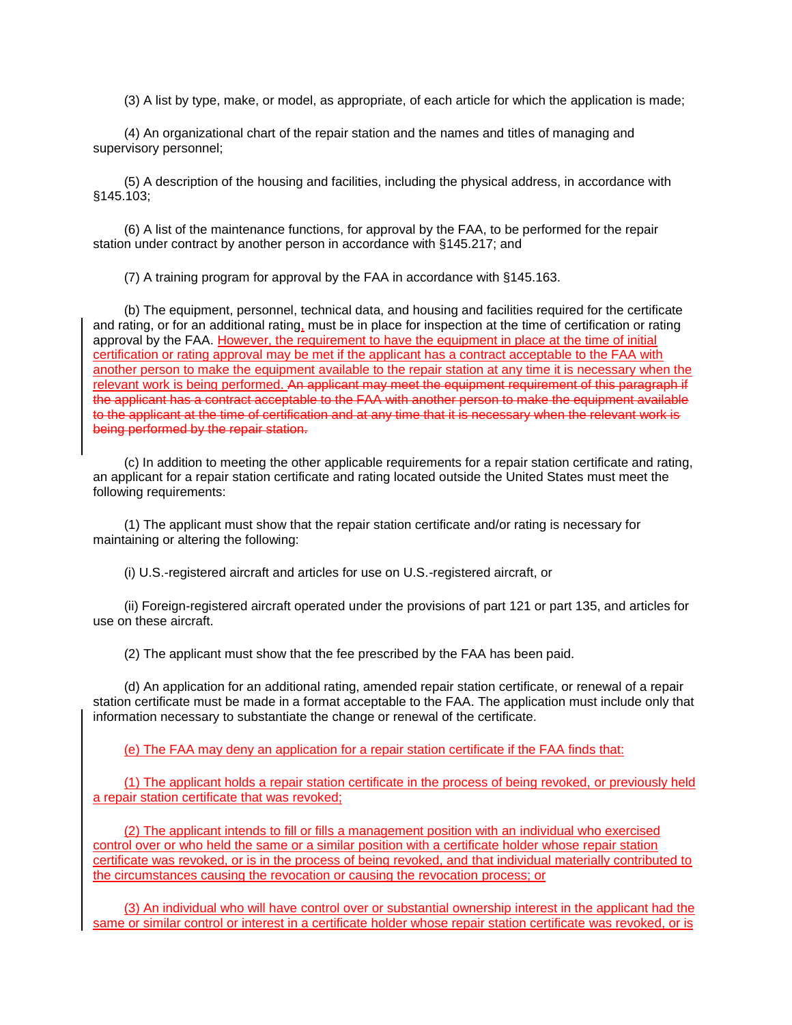(3) A list by type, make, or model, as appropriate, of each article for which the application is made;

(4) An organizational chart of the repair station and the names and titles of managing and supervisory personnel;

(5) A description of the housing and facilities, including the physical address, in accordance with §145.103;

(6) A list of the maintenance functions, for approval by the FAA, to be performed for the repair station under contract by another person in accordance with §145.217; and

(7) A training program for approval by the FAA in accordance with §145.163.

(b) The equipment, personnel, technical data, and housing and facilities required for the certificate and rating, or for an additional rating, must be in place for inspection at the time of certification or rating approval by the FAA. However, the requirement to have the equipment in place at the time of initial certification or rating approval may be met if the applicant has a contract acceptable to the FAA with another person to make the equipment available to the repair station at any time it is necessary when the relevant work is being performed. An applicant may meet the equipment requirement of this paragraph if the applicant has a contract acceptable to the FAA with another person to make the equipment available to the applicant at the time of certification and at any time that it is necessary when the relevant work is being performed by the repair station.

(c) In addition to meeting the other applicable requirements for a repair station certificate and rating, an applicant for a repair station certificate and rating located outside the United States must meet the following requirements:

(1) The applicant must show that the repair station certificate and/or rating is necessary for maintaining or altering the following:

(i) U.S.-registered aircraft and articles for use on U.S.-registered aircraft, or

(ii) Foreign-registered aircraft operated under the provisions of part 121 or part 135, and articles for use on these aircraft.

(2) The applicant must show that the fee prescribed by the FAA has been paid.

(d) An application for an additional rating, amended repair station certificate, or renewal of a repair station certificate must be made in a format acceptable to the FAA. The application must include only that information necessary to substantiate the change or renewal of the certificate.

(e) The FAA may deny an application for a repair station certificate if the FAA finds that:

(1) The applicant holds a repair station certificate in the process of being revoked, or previously held a repair station certificate that was revoked;

(2) The applicant intends to fill or fills a management position with an individual who exercised control over or who held the same or a similar position with a certificate holder whose repair station certificate was revoked, or is in the process of being revoked, and that individual materially contributed to the circumstances causing the revocation or causing the revocation process; or

(3) An individual who will have control over or substantial ownership interest in the applicant had the same or similar control or interest in a certificate holder whose repair station certificate was revoked, or is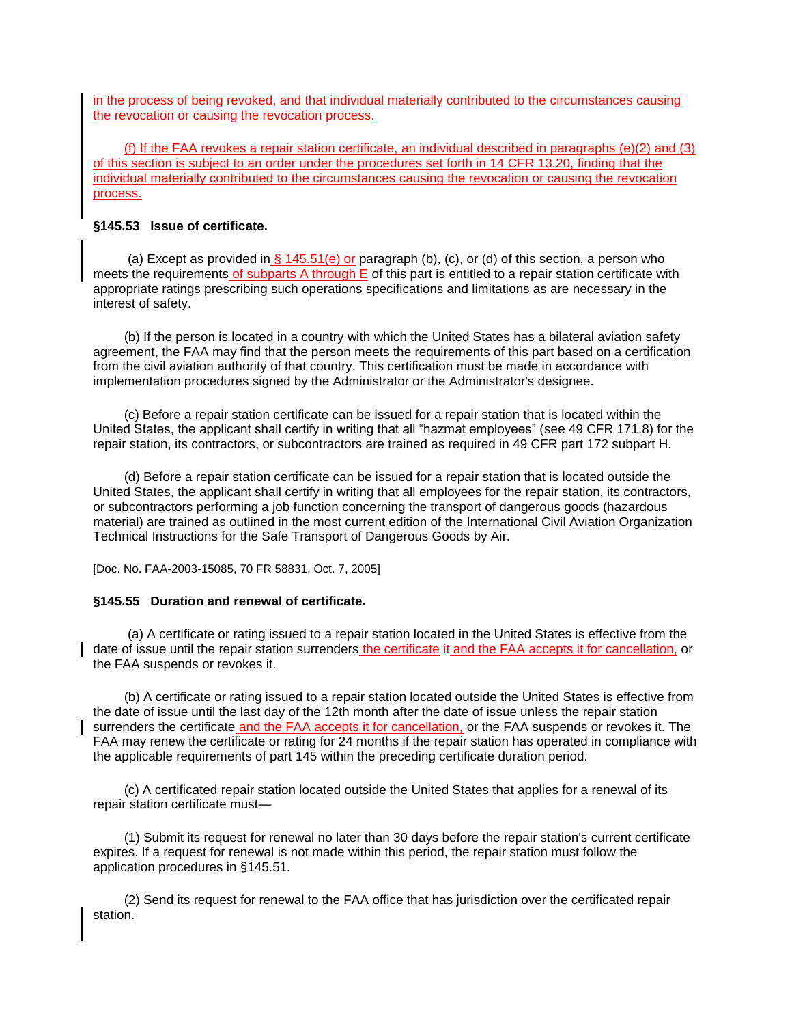in the process of being revoked, and that individual materially contributed to the circumstances causing the revocation or causing the revocation process.

(f) If the FAA revokes a repair station certificate, an individual described in paragraphs (e)(2) and (3) of this section is subject to an order under the procedures set forth in 14 CFR 13.20, finding that the individual materially contributed to the circumstances causing the revocation or causing the revocation process.

# **§145.53 Issue of certificate.**

(a) Except as provided in § 145.51(e) or paragraph (b), (c), or (d) of this section, a person who meets the requirements of subparts A through E of this part is entitled to a repair station certificate with appropriate ratings prescribing such operations specifications and limitations as are necessary in the interest of safety.

(b) If the person is located in a country with which the United States has a bilateral aviation safety agreement, the FAA may find that the person meets the requirements of this part based on a certification from the civil aviation authority of that country. This certification must be made in accordance with implementation procedures signed by the Administrator or the Administrator's designee.

(c) Before a repair station certificate can be issued for a repair station that is located within the United States, the applicant shall certify in writing that all "hazmat employees" (see 49 CFR 171.8) for the repair station, its contractors, or subcontractors are trained as required in 49 CFR part 172 subpart H.

(d) Before a repair station certificate can be issued for a repair station that is located outside the United States, the applicant shall certify in writing that all employees for the repair station, its contractors, or subcontractors performing a job function concerning the transport of dangerous goods (hazardous material) are trained as outlined in the most current edition of the International Civil Aviation Organization Technical Instructions for the Safe Transport of Dangerous Goods by Air.

[Doc. No. FAA-2003-15085, 70 FR 58831, Oct. 7, 2005]

## **§145.55 Duration and renewal of certificate.**

(a) A certificate or rating issued to a repair station located in the United States is effective from the date of issue until the repair station surrenders the certificate it and the FAA accepts it for cancellation, or the FAA suspends or revokes it.

(b) A certificate or rating issued to a repair station located outside the United States is effective from the date of issue until the last day of the 12th month after the date of issue unless the repair station surrenders the certificate and the FAA accepts it for cancellation, or the FAA suspends or revokes it. The FAA may renew the certificate or rating for 24 months if the repair station has operated in compliance with the applicable requirements of part 145 within the preceding certificate duration period.

(c) A certificated repair station located outside the United States that applies for a renewal of its repair station certificate must—

(1) Submit its request for renewal no later than 30 days before the repair station's current certificate expires. If a request for renewal is not made within this period, the repair station must follow the application procedures in §145.51.

(2) Send its request for renewal to the FAA office that has jurisdiction over the certificated repair station.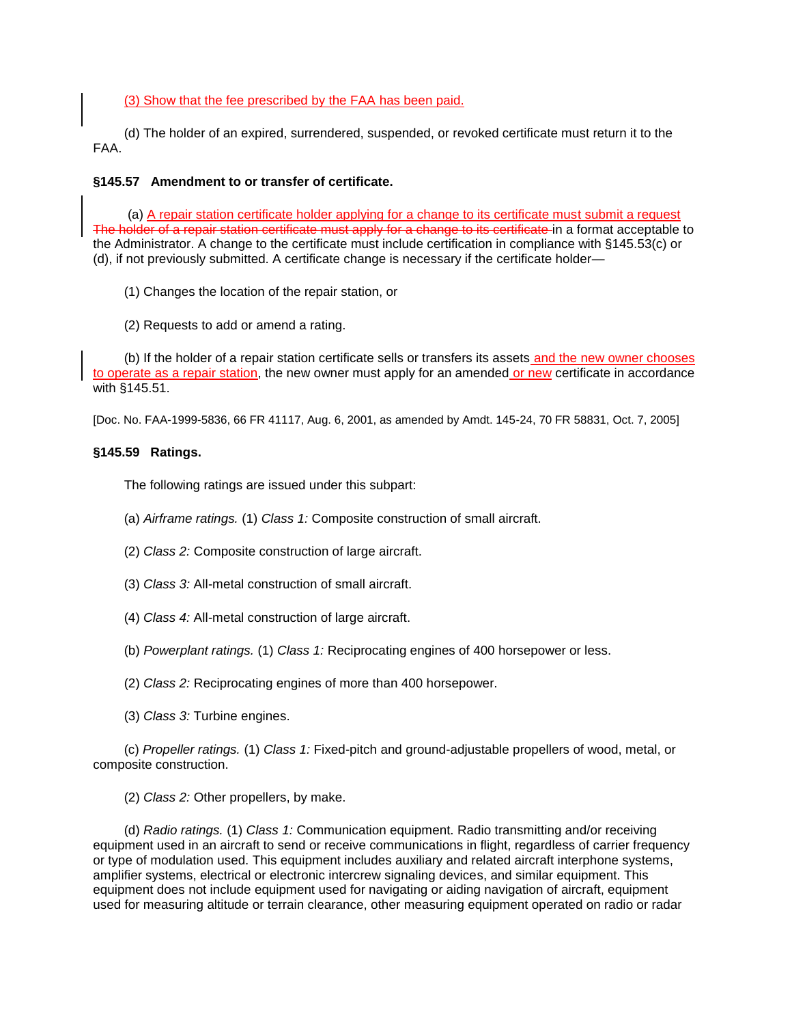# (3) Show that the fee prescribed by the FAA has been paid.

(d) The holder of an expired, surrendered, suspended, or revoked certificate must return it to the FAA.

## **§145.57 Amendment to or transfer of certificate.**

(a) A repair station certificate holder applying for a change to its certificate must submit a request The holder of a repair station certificate must apply for a change to its certificate in a format acceptable to the Administrator. A change to the certificate must include certification in compliance with §145.53(c) or (d), if not previously submitted. A certificate change is necessary if the certificate holder—

- (1) Changes the location of the repair station, or
- (2) Requests to add or amend a rating.

(b) If the holder of a repair station certificate sells or transfers its assets and the new owner chooses to operate as a repair station, the new owner must apply for an amended or new certificate in accordance with §145.51.

[Doc. No. FAA-1999-5836, 66 FR 41117, Aug. 6, 2001, as amended by Amdt. 145-24, 70 FR 58831, Oct. 7, 2005]

# **§145.59 Ratings.**

The following ratings are issued under this subpart:

- (a) *Airframe ratings.* (1) *Class 1:* Composite construction of small aircraft.
- (2) *Class 2:* Composite construction of large aircraft.
- (3) *Class 3:* All-metal construction of small aircraft.
- (4) *Class 4:* All-metal construction of large aircraft.
- (b) *Powerplant ratings.* (1) *Class 1:* Reciprocating engines of 400 horsepower or less.
- (2) *Class 2:* Reciprocating engines of more than 400 horsepower.
- (3) *Class 3:* Turbine engines.

(c) *Propeller ratings.* (1) *Class 1:* Fixed-pitch and ground-adjustable propellers of wood, metal, or composite construction.

(2) *Class 2:* Other propellers, by make.

(d) *Radio ratings.* (1) *Class 1:* Communication equipment. Radio transmitting and/or receiving equipment used in an aircraft to send or receive communications in flight, regardless of carrier frequency or type of modulation used. This equipment includes auxiliary and related aircraft interphone systems, amplifier systems, electrical or electronic intercrew signaling devices, and similar equipment. This equipment does not include equipment used for navigating or aiding navigation of aircraft, equipment used for measuring altitude or terrain clearance, other measuring equipment operated on radio or radar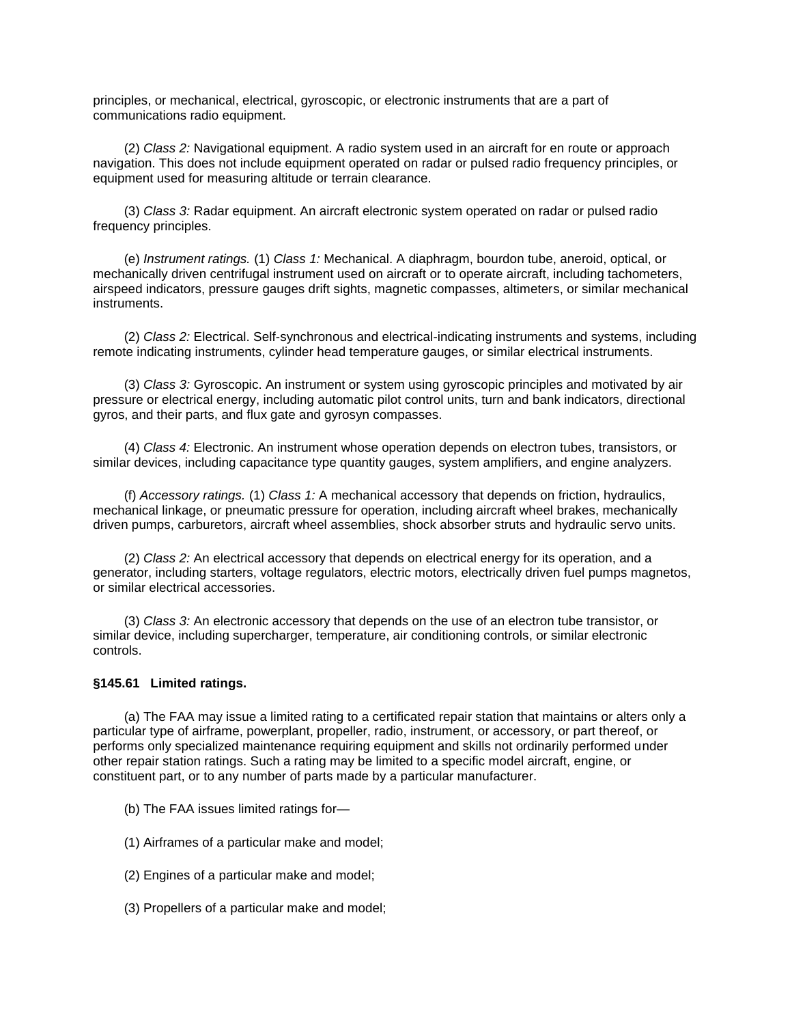principles, or mechanical, electrical, gyroscopic, or electronic instruments that are a part of communications radio equipment.

(2) *Class 2:* Navigational equipment. A radio system used in an aircraft for en route or approach navigation. This does not include equipment operated on radar or pulsed radio frequency principles, or equipment used for measuring altitude or terrain clearance.

(3) *Class 3:* Radar equipment. An aircraft electronic system operated on radar or pulsed radio frequency principles.

(e) *Instrument ratings.* (1) *Class 1:* Mechanical. A diaphragm, bourdon tube, aneroid, optical, or mechanically driven centrifugal instrument used on aircraft or to operate aircraft, including tachometers, airspeed indicators, pressure gauges drift sights, magnetic compasses, altimeters, or similar mechanical instruments.

(2) *Class 2:* Electrical. Self-synchronous and electrical-indicating instruments and systems, including remote indicating instruments, cylinder head temperature gauges, or similar electrical instruments.

(3) *Class 3:* Gyroscopic. An instrument or system using gyroscopic principles and motivated by air pressure or electrical energy, including automatic pilot control units, turn and bank indicators, directional gyros, and their parts, and flux gate and gyrosyn compasses.

(4) *Class 4:* Electronic. An instrument whose operation depends on electron tubes, transistors, or similar devices, including capacitance type quantity gauges, system amplifiers, and engine analyzers.

(f) *Accessory ratings.* (1) *Class 1:* A mechanical accessory that depends on friction, hydraulics, mechanical linkage, or pneumatic pressure for operation, including aircraft wheel brakes, mechanically driven pumps, carburetors, aircraft wheel assemblies, shock absorber struts and hydraulic servo units.

(2) *Class 2:* An electrical accessory that depends on electrical energy for its operation, and a generator, including starters, voltage regulators, electric motors, electrically driven fuel pumps magnetos, or similar electrical accessories.

(3) *Class 3:* An electronic accessory that depends on the use of an electron tube transistor, or similar device, including supercharger, temperature, air conditioning controls, or similar electronic controls.

#### **§145.61 Limited ratings.**

(a) The FAA may issue a limited rating to a certificated repair station that maintains or alters only a particular type of airframe, powerplant, propeller, radio, instrument, or accessory, or part thereof, or performs only specialized maintenance requiring equipment and skills not ordinarily performed under other repair station ratings. Such a rating may be limited to a specific model aircraft, engine, or constituent part, or to any number of parts made by a particular manufacturer.

- (b) The FAA issues limited ratings for—
- (1) Airframes of a particular make and model;
- (2) Engines of a particular make and model;
- (3) Propellers of a particular make and model;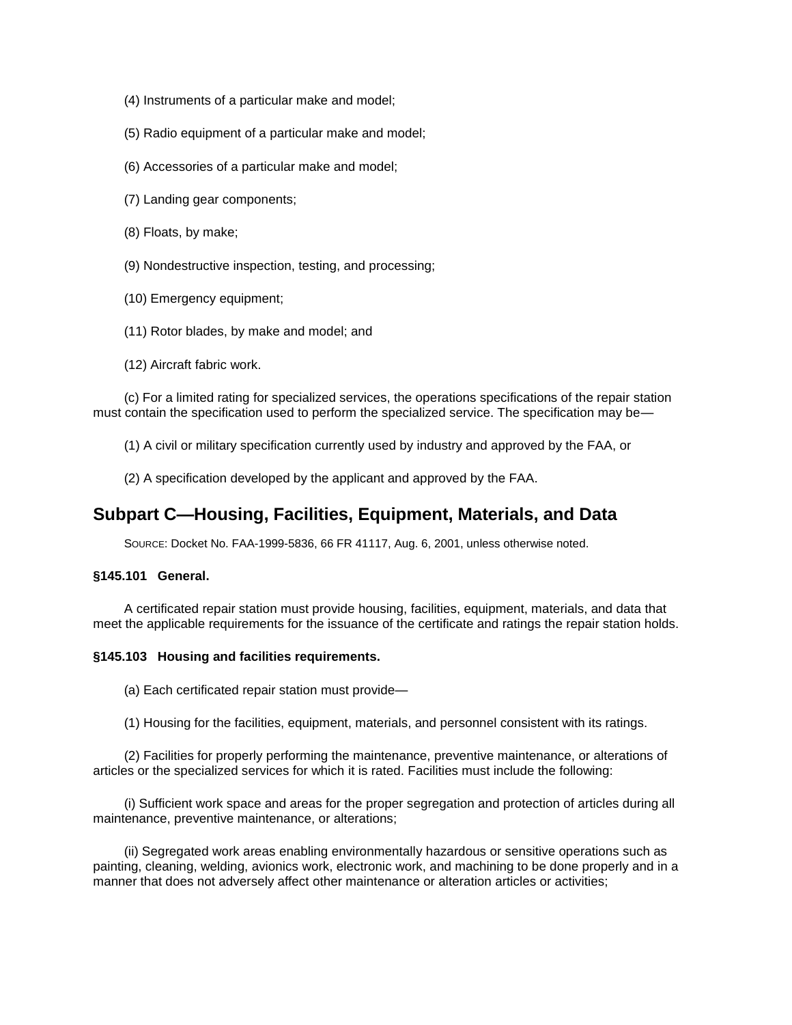- (4) Instruments of a particular make and model;
- (5) Radio equipment of a particular make and model;
- (6) Accessories of a particular make and model;
- (7) Landing gear components;
- (8) Floats, by make;
- (9) Nondestructive inspection, testing, and processing;
- (10) Emergency equipment;
- (11) Rotor blades, by make and model; and
- (12) Aircraft fabric work.

(c) For a limited rating for specialized services, the operations specifications of the repair station must contain the specification used to perform the specialized service. The specification may be—

(1) A civil or military specification currently used by industry and approved by the FAA, or

(2) A specification developed by the applicant and approved by the FAA.

# **Subpart C—Housing, Facilities, Equipment, Materials, and Data**

SOURCE: Docket No. FAA-1999-5836, 66 FR 41117, Aug. 6, 2001, unless otherwise noted.

# **§145.101 General.**

A certificated repair station must provide housing, facilities, equipment, materials, and data that meet the applicable requirements for the issuance of the certificate and ratings the repair station holds.

#### **§145.103 Housing and facilities requirements.**

- (a) Each certificated repair station must provide—
- (1) Housing for the facilities, equipment, materials, and personnel consistent with its ratings.

(2) Facilities for properly performing the maintenance, preventive maintenance, or alterations of articles or the specialized services for which it is rated. Facilities must include the following:

(i) Sufficient work space and areas for the proper segregation and protection of articles during all maintenance, preventive maintenance, or alterations;

(ii) Segregated work areas enabling environmentally hazardous or sensitive operations such as painting, cleaning, welding, avionics work, electronic work, and machining to be done properly and in a manner that does not adversely affect other maintenance or alteration articles or activities;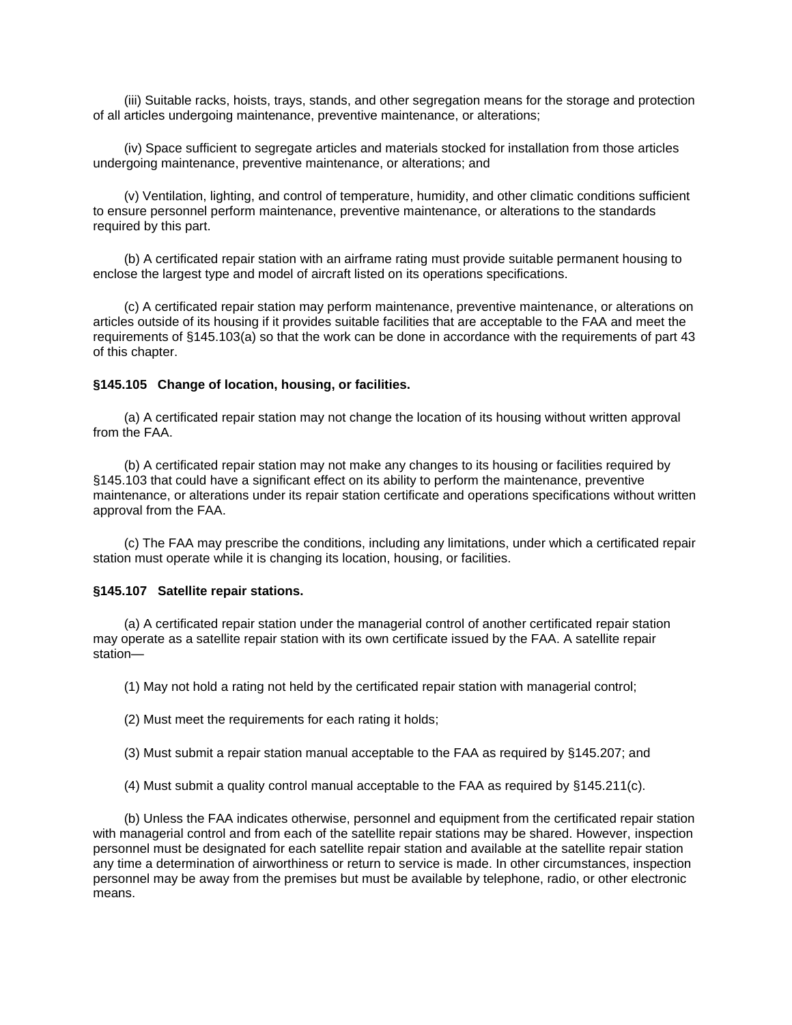(iii) Suitable racks, hoists, trays, stands, and other segregation means for the storage and protection of all articles undergoing maintenance, preventive maintenance, or alterations;

(iv) Space sufficient to segregate articles and materials stocked for installation from those articles undergoing maintenance, preventive maintenance, or alterations; and

(v) Ventilation, lighting, and control of temperature, humidity, and other climatic conditions sufficient to ensure personnel perform maintenance, preventive maintenance, or alterations to the standards required by this part.

(b) A certificated repair station with an airframe rating must provide suitable permanent housing to enclose the largest type and model of aircraft listed on its operations specifications.

(c) A certificated repair station may perform maintenance, preventive maintenance, or alterations on articles outside of its housing if it provides suitable facilities that are acceptable to the FAA and meet the requirements of §145.103(a) so that the work can be done in accordance with the requirements of part 43 of this chapter.

#### **§145.105 Change of location, housing, or facilities.**

(a) A certificated repair station may not change the location of its housing without written approval from the FAA.

(b) A certificated repair station may not make any changes to its housing or facilities required by §145.103 that could have a significant effect on its ability to perform the maintenance, preventive maintenance, or alterations under its repair station certificate and operations specifications without written approval from the FAA.

(c) The FAA may prescribe the conditions, including any limitations, under which a certificated repair station must operate while it is changing its location, housing, or facilities.

#### **§145.107 Satellite repair stations.**

(a) A certificated repair station under the managerial control of another certificated repair station may operate as a satellite repair station with its own certificate issued by the FAA. A satellite repair station—

(1) May not hold a rating not held by the certificated repair station with managerial control;

(2) Must meet the requirements for each rating it holds;

(3) Must submit a repair station manual acceptable to the FAA as required by §145.207; and

(4) Must submit a quality control manual acceptable to the FAA as required by §145.211(c).

(b) Unless the FAA indicates otherwise, personnel and equipment from the certificated repair station with managerial control and from each of the satellite repair stations may be shared. However, inspection personnel must be designated for each satellite repair station and available at the satellite repair station any time a determination of airworthiness or return to service is made. In other circumstances, inspection personnel may be away from the premises but must be available by telephone, radio, or other electronic means.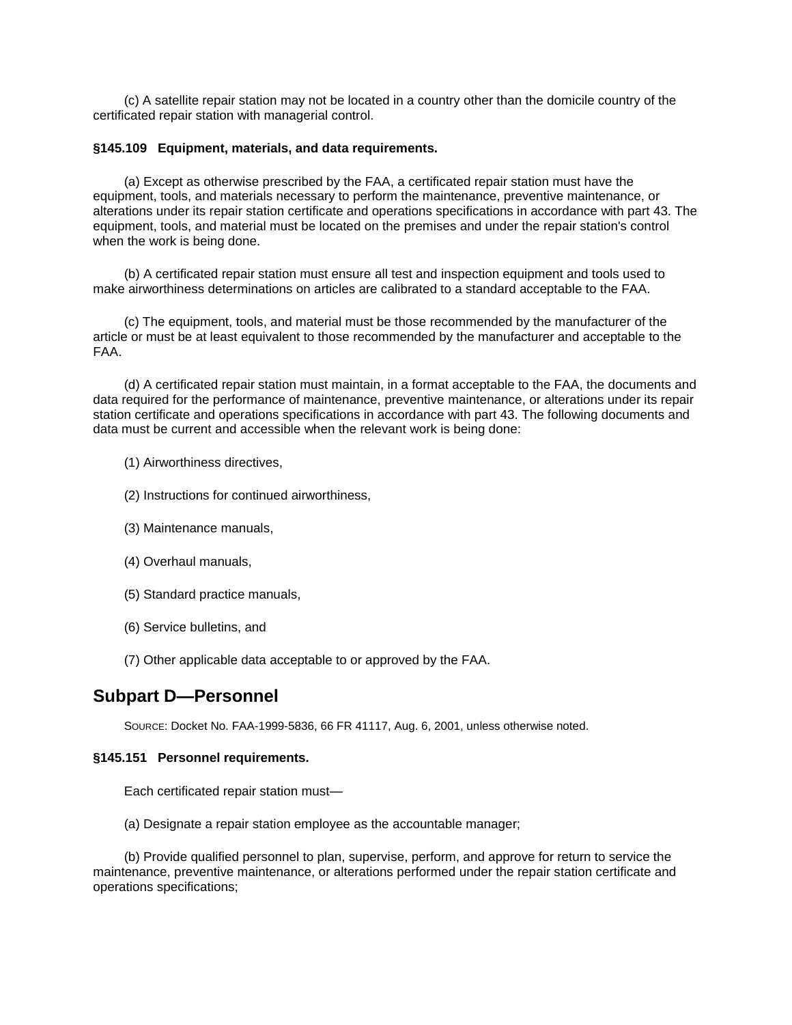(c) A satellite repair station may not be located in a country other than the domicile country of the certificated repair station with managerial control.

#### **§145.109 Equipment, materials, and data requirements.**

(a) Except as otherwise prescribed by the FAA, a certificated repair station must have the equipment, tools, and materials necessary to perform the maintenance, preventive maintenance, or alterations under its repair station certificate and operations specifications in accordance with part 43. The equipment, tools, and material must be located on the premises and under the repair station's control when the work is being done.

(b) A certificated repair station must ensure all test and inspection equipment and tools used to make airworthiness determinations on articles are calibrated to a standard acceptable to the FAA.

(c) The equipment, tools, and material must be those recommended by the manufacturer of the article or must be at least equivalent to those recommended by the manufacturer and acceptable to the FAA.

(d) A certificated repair station must maintain, in a format acceptable to the FAA, the documents and data required for the performance of maintenance, preventive maintenance, or alterations under its repair station certificate and operations specifications in accordance with part 43. The following documents and data must be current and accessible when the relevant work is being done:

- (1) Airworthiness directives,
- (2) Instructions for continued airworthiness,
- (3) Maintenance manuals,
- (4) Overhaul manuals,
- (5) Standard practice manuals,
- (6) Service bulletins, and
- (7) Other applicable data acceptable to or approved by the FAA.

# **Subpart D—Personnel**

SOURCE: Docket No. FAA-1999-5836, 66 FR 41117, Aug. 6, 2001, unless otherwise noted.

#### **§145.151 Personnel requirements.**

Each certificated repair station must—

(a) Designate a repair station employee as the accountable manager;

(b) Provide qualified personnel to plan, supervise, perform, and approve for return to service the maintenance, preventive maintenance, or alterations performed under the repair station certificate and operations specifications;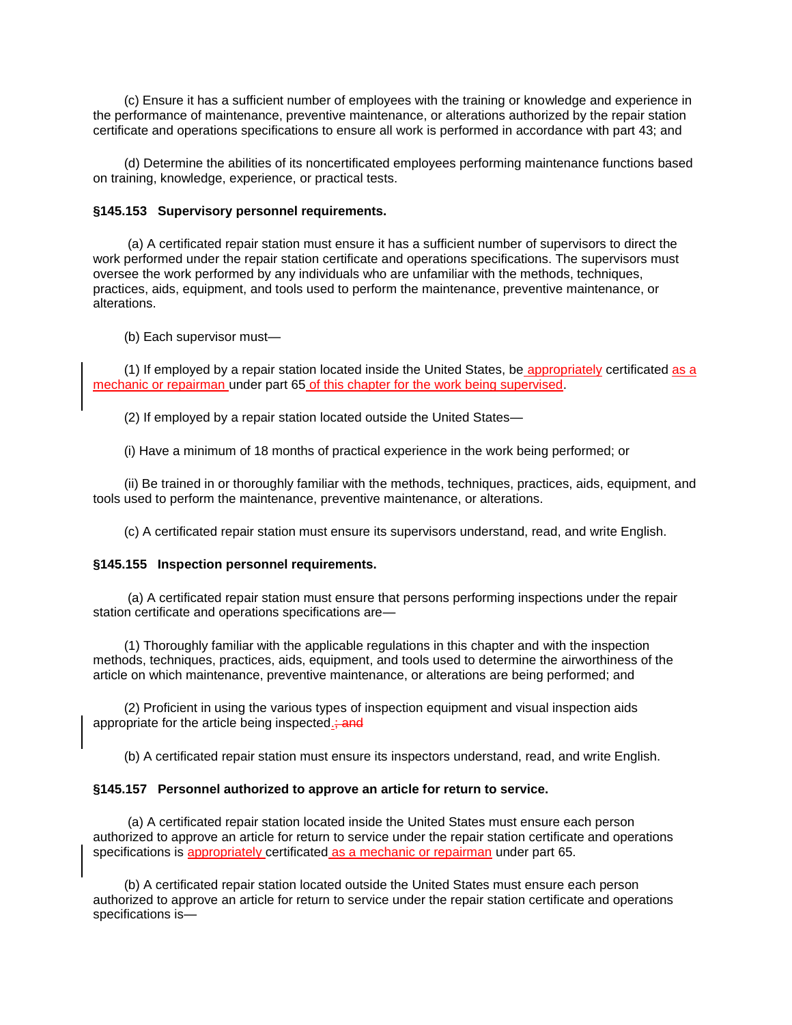(c) Ensure it has a sufficient number of employees with the training or knowledge and experience in the performance of maintenance, preventive maintenance, or alterations authorized by the repair station certificate and operations specifications to ensure all work is performed in accordance with part 43; and

(d) Determine the abilities of its noncertificated employees performing maintenance functions based on training, knowledge, experience, or practical tests.

#### **§145.153 Supervisory personnel requirements.**

(a) A certificated repair station must ensure it has a sufficient number of supervisors to direct the work performed under the repair station certificate and operations specifications. The supervisors must oversee the work performed by any individuals who are unfamiliar with the methods, techniques, practices, aids, equipment, and tools used to perform the maintenance, preventive maintenance, or alterations.

(b) Each supervisor must—

(1) If employed by a repair station located inside the United States, be appropriately certificated as a mechanic or repairman under part 65 of this chapter for the work being supervised.

(2) If employed by a repair station located outside the United States—

(i) Have a minimum of 18 months of practical experience in the work being performed; or

(ii) Be trained in or thoroughly familiar with the methods, techniques, practices, aids, equipment, and tools used to perform the maintenance, preventive maintenance, or alterations.

(c) A certificated repair station must ensure its supervisors understand, read, and write English.

#### **§145.155 Inspection personnel requirements.**

(a) A certificated repair station must ensure that persons performing inspections under the repair station certificate and operations specifications are—

(1) Thoroughly familiar with the applicable regulations in this chapter and with the inspection methods, techniques, practices, aids, equipment, and tools used to determine the airworthiness of the article on which maintenance, preventive maintenance, or alterations are being performed; and

(2) Proficient in using the various types of inspection equipment and visual inspection aids appropriate for the article being inspected.; and

(b) A certificated repair station must ensure its inspectors understand, read, and write English.

#### **§145.157 Personnel authorized to approve an article for return to service.**

(a) A certificated repair station located inside the United States must ensure each person authorized to approve an article for return to service under the repair station certificate and operations specifications is appropriately certificated as a mechanic or repairman under part 65.

(b) A certificated repair station located outside the United States must ensure each person authorized to approve an article for return to service under the repair station certificate and operations specifications is—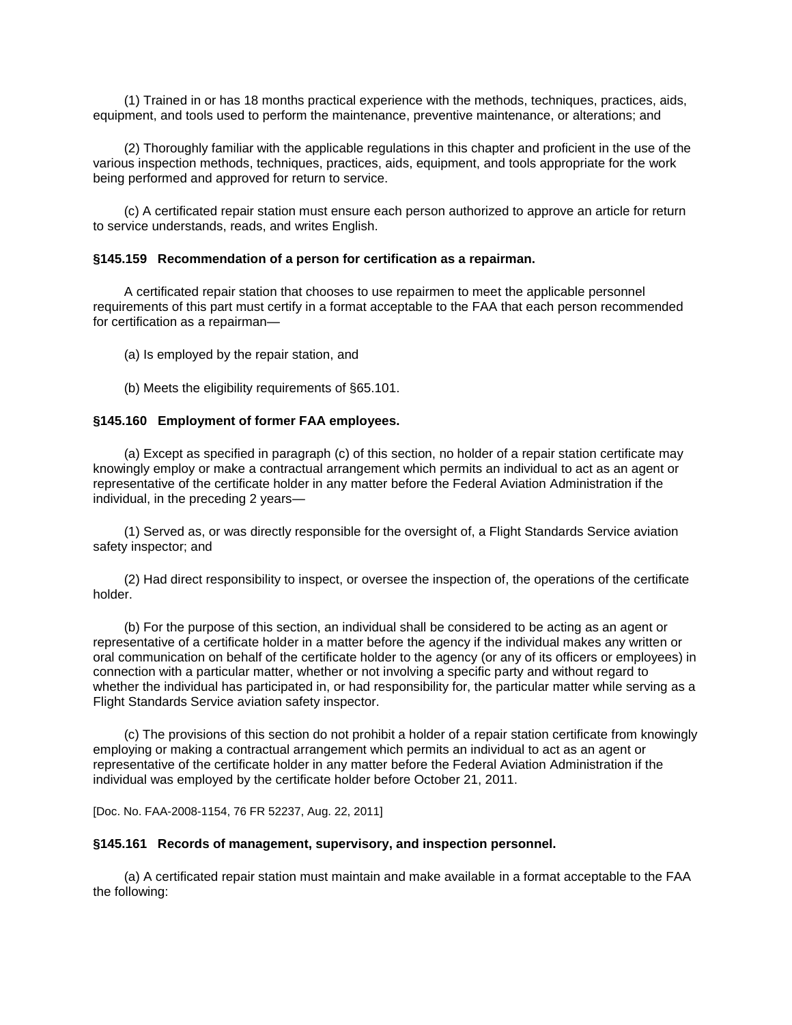(1) Trained in or has 18 months practical experience with the methods, techniques, practices, aids, equipment, and tools used to perform the maintenance, preventive maintenance, or alterations; and

(2) Thoroughly familiar with the applicable regulations in this chapter and proficient in the use of the various inspection methods, techniques, practices, aids, equipment, and tools appropriate for the work being performed and approved for return to service.

(c) A certificated repair station must ensure each person authorized to approve an article for return to service understands, reads, and writes English.

#### **§145.159 Recommendation of a person for certification as a repairman.**

A certificated repair station that chooses to use repairmen to meet the applicable personnel requirements of this part must certify in a format acceptable to the FAA that each person recommended for certification as a repairman—

- (a) Is employed by the repair station, and
- (b) Meets the eligibility requirements of §65.101.

#### **§145.160 Employment of former FAA employees.**

(a) Except as specified in paragraph (c) of this section, no holder of a repair station certificate may knowingly employ or make a contractual arrangement which permits an individual to act as an agent or representative of the certificate holder in any matter before the Federal Aviation Administration if the individual, in the preceding 2 years—

(1) Served as, or was directly responsible for the oversight of, a Flight Standards Service aviation safety inspector; and

(2) Had direct responsibility to inspect, or oversee the inspection of, the operations of the certificate holder.

(b) For the purpose of this section, an individual shall be considered to be acting as an agent or representative of a certificate holder in a matter before the agency if the individual makes any written or oral communication on behalf of the certificate holder to the agency (or any of its officers or employees) in connection with a particular matter, whether or not involving a specific party and without regard to whether the individual has participated in, or had responsibility for, the particular matter while serving as a Flight Standards Service aviation safety inspector.

(c) The provisions of this section do not prohibit a holder of a repair station certificate from knowingly employing or making a contractual arrangement which permits an individual to act as an agent or representative of the certificate holder in any matter before the Federal Aviation Administration if the individual was employed by the certificate holder before October 21, 2011.

[Doc. No. FAA-2008-1154, 76 FR 52237, Aug. 22, 2011]

#### **§145.161 Records of management, supervisory, and inspection personnel.**

(a) A certificated repair station must maintain and make available in a format acceptable to the FAA the following: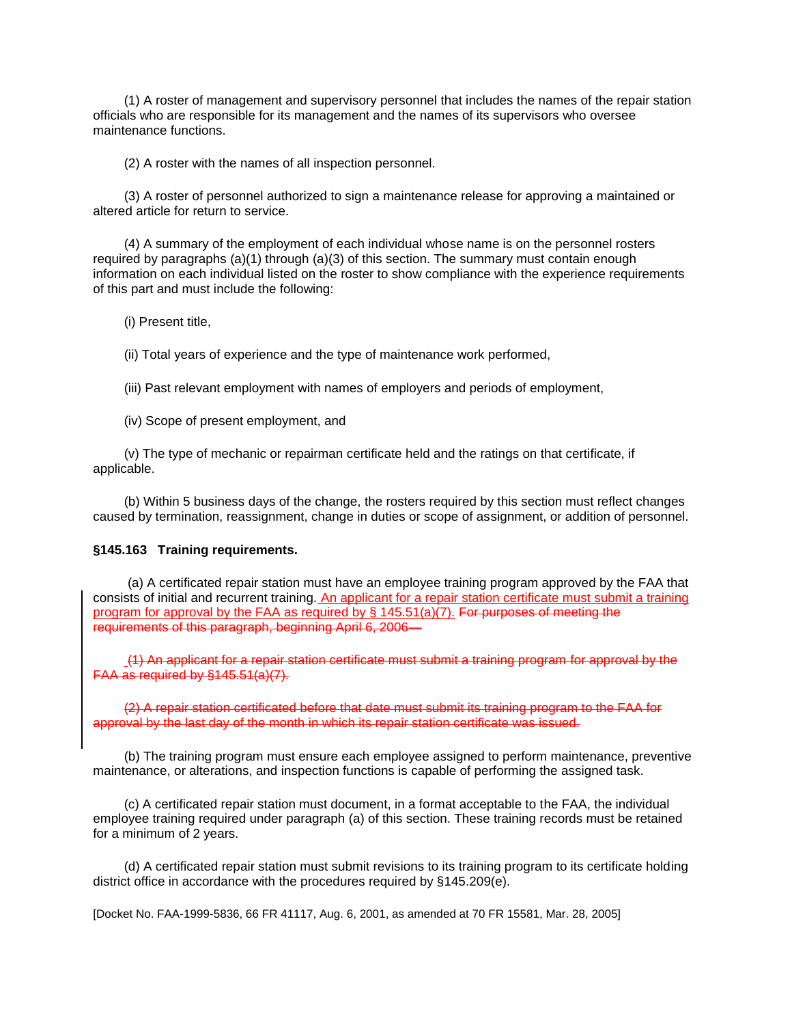(1) A roster of management and supervisory personnel that includes the names of the repair station officials who are responsible for its management and the names of its supervisors who oversee maintenance functions.

(2) A roster with the names of all inspection personnel.

(3) A roster of personnel authorized to sign a maintenance release for approving a maintained or altered article for return to service.

(4) A summary of the employment of each individual whose name is on the personnel rosters required by paragraphs (a)(1) through (a)(3) of this section. The summary must contain enough information on each individual listed on the roster to show compliance with the experience requirements of this part and must include the following:

(i) Present title,

(ii) Total years of experience and the type of maintenance work performed,

(iii) Past relevant employment with names of employers and periods of employment,

(iv) Scope of present employment, and

(v) The type of mechanic or repairman certificate held and the ratings on that certificate, if applicable.

(b) Within 5 business days of the change, the rosters required by this section must reflect changes caused by termination, reassignment, change in duties or scope of assignment, or addition of personnel.

#### **§145.163 Training requirements.**

(a) A certificated repair station must have an employee training program approved by the FAA that consists of initial and recurrent training. An applicant for a repair station certificate must submit a training program for approval by the FAA as required by § 145.51(a)(7). For purposes of meeting the requirements of this paragraph, beginning April 6, 2006—

(1) An applicant for a repair station certificate must submit a training program for approval by the FAA as required by §145.51(a)(7).

(2) A repair station certificated before that date must submit its training program to the FAA for approval by the last day of the month in which its repair station certificate was issued.

(b) The training program must ensure each employee assigned to perform maintenance, preventive maintenance, or alterations, and inspection functions is capable of performing the assigned task.

(c) A certificated repair station must document, in a format acceptable to the FAA, the individual employee training required under paragraph (a) of this section. These training records must be retained for a minimum of 2 years.

(d) A certificated repair station must submit revisions to its training program to its certificate holding district office in accordance with the procedures required by §145.209(e).

[Docket No. FAA-1999-5836, 66 FR 41117, Aug. 6, 2001, as amended at 70 FR 15581, Mar. 28, 2005]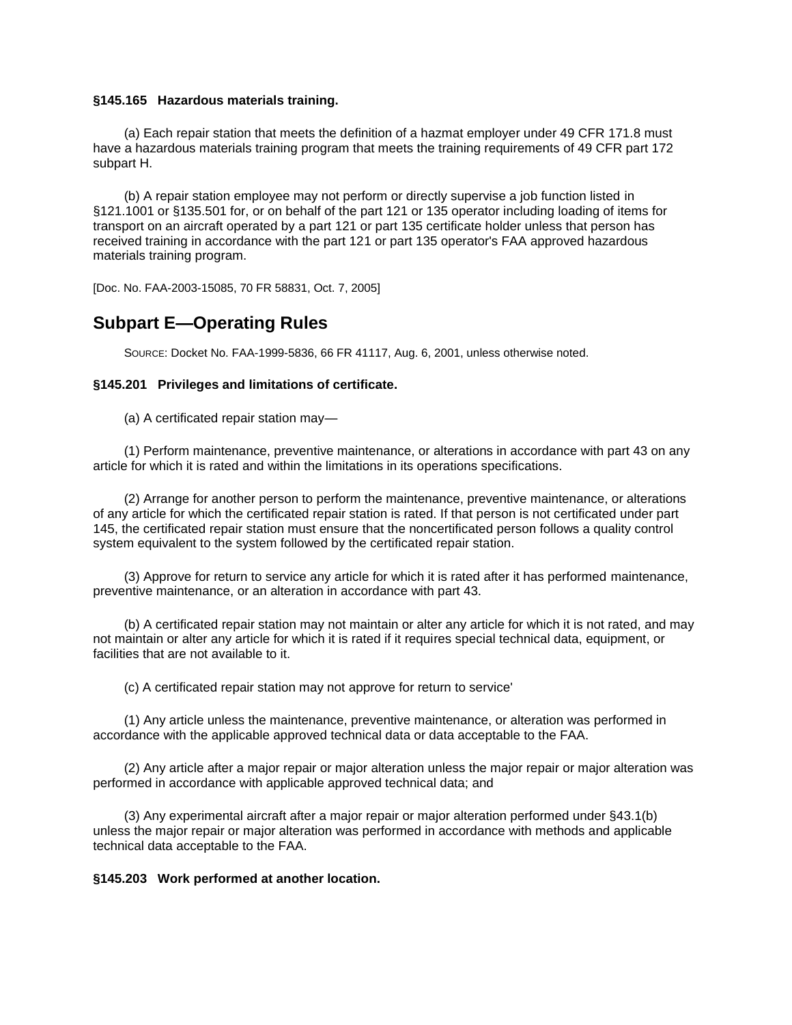#### **§145.165 Hazardous materials training.**

(a) Each repair station that meets the definition of a hazmat employer under 49 CFR 171.8 must have a hazardous materials training program that meets the training requirements of 49 CFR part 172 subpart H.

(b) A repair station employee may not perform or directly supervise a job function listed in §121.1001 or §135.501 for, or on behalf of the part 121 or 135 operator including loading of items for transport on an aircraft operated by a part 121 or part 135 certificate holder unless that person has received training in accordance with the part 121 or part 135 operator's FAA approved hazardous materials training program.

[Doc. No. FAA-2003-15085, 70 FR 58831, Oct. 7, 2005]

# **Subpart E—Operating Rules**

SOURCE: Docket No. FAA-1999-5836, 66 FR 41117, Aug. 6, 2001, unless otherwise noted.

#### **§145.201 Privileges and limitations of certificate.**

(a) A certificated repair station may—

(1) Perform maintenance, preventive maintenance, or alterations in accordance with part 43 on any article for which it is rated and within the limitations in its operations specifications.

(2) Arrange for another person to perform the maintenance, preventive maintenance, or alterations of any article for which the certificated repair station is rated. If that person is not certificated under part 145, the certificated repair station must ensure that the noncertificated person follows a quality control system equivalent to the system followed by the certificated repair station.

(3) Approve for return to service any article for which it is rated after it has performed maintenance, preventive maintenance, or an alteration in accordance with part 43.

(b) A certificated repair station may not maintain or alter any article for which it is not rated, and may not maintain or alter any article for which it is rated if it requires special technical data, equipment, or facilities that are not available to it.

(c) A certificated repair station may not approve for return to service'

(1) Any article unless the maintenance, preventive maintenance, or alteration was performed in accordance with the applicable approved technical data or data acceptable to the FAA.

(2) Any article after a major repair or major alteration unless the major repair or major alteration was performed in accordance with applicable approved technical data; and

(3) Any experimental aircraft after a major repair or major alteration performed under §43.1(b) unless the major repair or major alteration was performed in accordance with methods and applicable technical data acceptable to the FAA.

#### **§145.203 Work performed at another location.**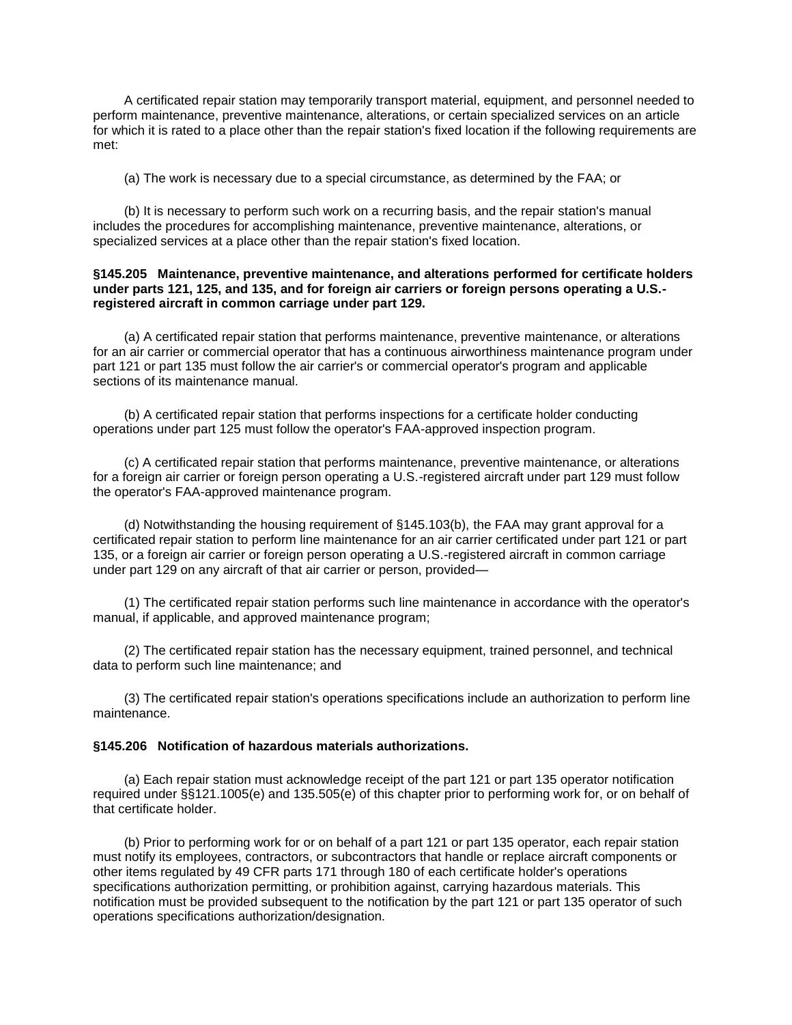A certificated repair station may temporarily transport material, equipment, and personnel needed to perform maintenance, preventive maintenance, alterations, or certain specialized services on an article for which it is rated to a place other than the repair station's fixed location if the following requirements are met:

(a) The work is necessary due to a special circumstance, as determined by the FAA; or

(b) It is necessary to perform such work on a recurring basis, and the repair station's manual includes the procedures for accomplishing maintenance, preventive maintenance, alterations, or specialized services at a place other than the repair station's fixed location.

#### **§145.205 Maintenance, preventive maintenance, and alterations performed for certificate holders under parts 121, 125, and 135, and for foreign air carriers or foreign persons operating a U.S. registered aircraft in common carriage under part 129.**

(a) A certificated repair station that performs maintenance, preventive maintenance, or alterations for an air carrier or commercial operator that has a continuous airworthiness maintenance program under part 121 or part 135 must follow the air carrier's or commercial operator's program and applicable sections of its maintenance manual.

(b) A certificated repair station that performs inspections for a certificate holder conducting operations under part 125 must follow the operator's FAA-approved inspection program.

(c) A certificated repair station that performs maintenance, preventive maintenance, or alterations for a foreign air carrier or foreign person operating a U.S.-registered aircraft under part 129 must follow the operator's FAA-approved maintenance program.

(d) Notwithstanding the housing requirement of §145.103(b), the FAA may grant approval for a certificated repair station to perform line maintenance for an air carrier certificated under part 121 or part 135, or a foreign air carrier or foreign person operating a U.S.-registered aircraft in common carriage under part 129 on any aircraft of that air carrier or person, provided—

(1) The certificated repair station performs such line maintenance in accordance with the operator's manual, if applicable, and approved maintenance program;

(2) The certificated repair station has the necessary equipment, trained personnel, and technical data to perform such line maintenance; and

(3) The certificated repair station's operations specifications include an authorization to perform line maintenance.

# **§145.206 Notification of hazardous materials authorizations.**

(a) Each repair station must acknowledge receipt of the part 121 or part 135 operator notification required under §§121.1005(e) and 135.505(e) of this chapter prior to performing work for, or on behalf of that certificate holder.

(b) Prior to performing work for or on behalf of a part 121 or part 135 operator, each repair station must notify its employees, contractors, or subcontractors that handle or replace aircraft components or other items regulated by 49 CFR parts 171 through 180 of each certificate holder's operations specifications authorization permitting, or prohibition against, carrying hazardous materials. This notification must be provided subsequent to the notification by the part 121 or part 135 operator of such operations specifications authorization/designation.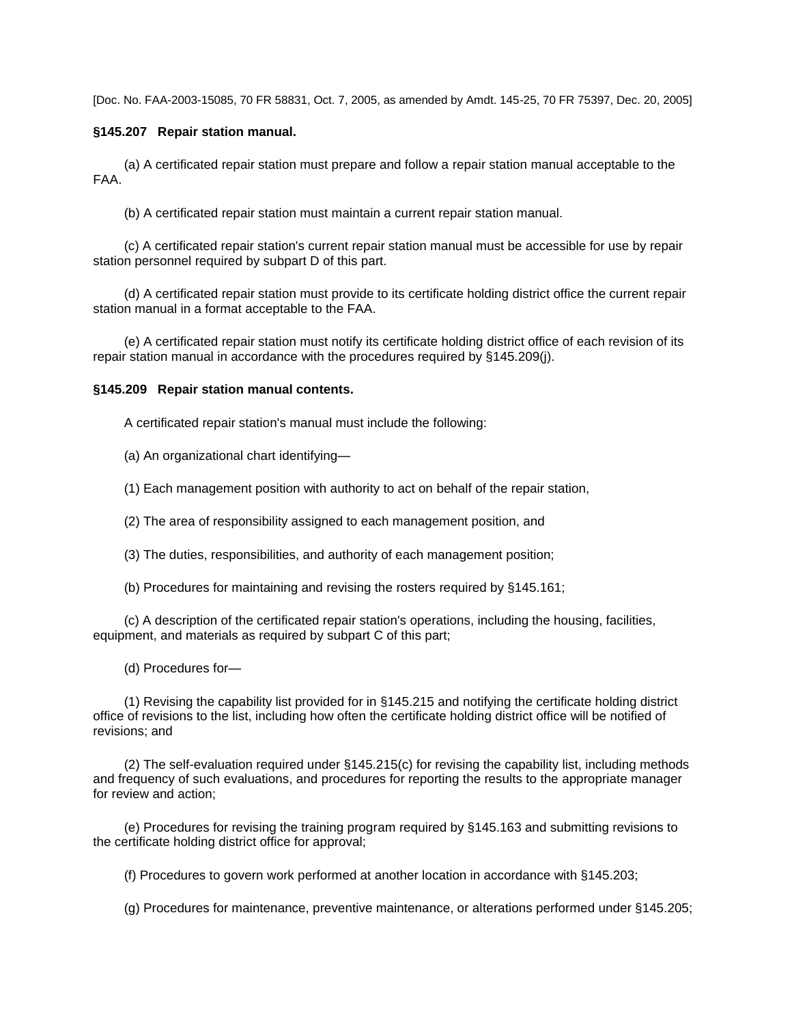[Doc. No. FAA-2003-15085, 70 FR 58831, Oct. 7, 2005, as amended by Amdt. 145-25, 70 FR 75397, Dec. 20, 2005]

## **§145.207 Repair station manual.**

(a) A certificated repair station must prepare and follow a repair station manual acceptable to the FAA.

(b) A certificated repair station must maintain a current repair station manual.

(c) A certificated repair station's current repair station manual must be accessible for use by repair station personnel required by subpart D of this part.

(d) A certificated repair station must provide to its certificate holding district office the current repair station manual in a format acceptable to the FAA.

(e) A certificated repair station must notify its certificate holding district office of each revision of its repair station manual in accordance with the procedures required by §145.209(j).

#### **§145.209 Repair station manual contents.**

A certificated repair station's manual must include the following:

(a) An organizational chart identifying—

(1) Each management position with authority to act on behalf of the repair station,

(2) The area of responsibility assigned to each management position, and

(3) The duties, responsibilities, and authority of each management position;

(b) Procedures for maintaining and revising the rosters required by §145.161;

(c) A description of the certificated repair station's operations, including the housing, facilities, equipment, and materials as required by subpart C of this part;

(d) Procedures for—

(1) Revising the capability list provided for in §145.215 and notifying the certificate holding district office of revisions to the list, including how often the certificate holding district office will be notified of revisions; and

(2) The self-evaluation required under §145.215(c) for revising the capability list, including methods and frequency of such evaluations, and procedures for reporting the results to the appropriate manager for review and action;

(e) Procedures for revising the training program required by §145.163 and submitting revisions to the certificate holding district office for approval;

(f) Procedures to govern work performed at another location in accordance with §145.203;

(g) Procedures for maintenance, preventive maintenance, or alterations performed under §145.205;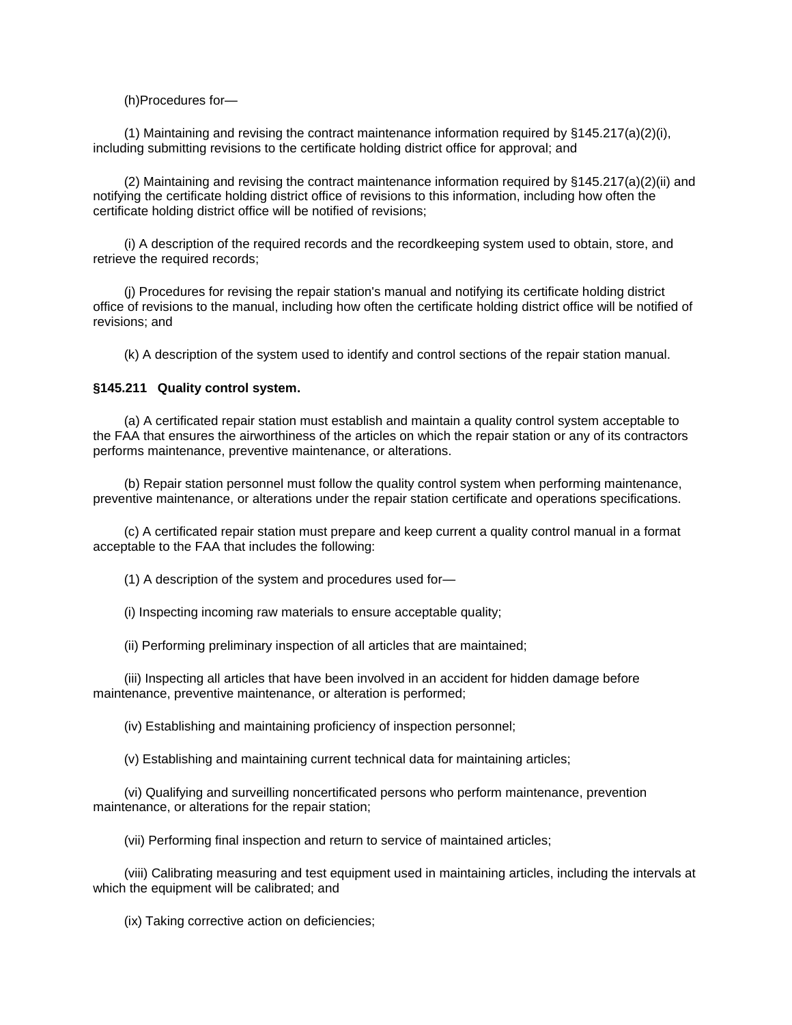(h)Procedures for—

(1) Maintaining and revising the contract maintenance information required by  $\S 145.217(a)(2)(i)$ , including submitting revisions to the certificate holding district office for approval; and

(2) Maintaining and revising the contract maintenance information required by  $\S 145.217(a)(2)(ii)$  and notifying the certificate holding district office of revisions to this information, including how often the certificate holding district office will be notified of revisions;

(i) A description of the required records and the recordkeeping system used to obtain, store, and retrieve the required records;

(j) Procedures for revising the repair station's manual and notifying its certificate holding district office of revisions to the manual, including how often the certificate holding district office will be notified of revisions; and

(k) A description of the system used to identify and control sections of the repair station manual.

#### **§145.211 Quality control system.**

(a) A certificated repair station must establish and maintain a quality control system acceptable to the FAA that ensures the airworthiness of the articles on which the repair station or any of its contractors performs maintenance, preventive maintenance, or alterations.

(b) Repair station personnel must follow the quality control system when performing maintenance, preventive maintenance, or alterations under the repair station certificate and operations specifications.

(c) A certificated repair station must prepare and keep current a quality control manual in a format acceptable to the FAA that includes the following:

(1) A description of the system and procedures used for—

(i) Inspecting incoming raw materials to ensure acceptable quality;

(ii) Performing preliminary inspection of all articles that are maintained;

(iii) Inspecting all articles that have been involved in an accident for hidden damage before maintenance, preventive maintenance, or alteration is performed;

(iv) Establishing and maintaining proficiency of inspection personnel;

(v) Establishing and maintaining current technical data for maintaining articles;

(vi) Qualifying and surveilling noncertificated persons who perform maintenance, prevention maintenance, or alterations for the repair station;

(vii) Performing final inspection and return to service of maintained articles;

(viii) Calibrating measuring and test equipment used in maintaining articles, including the intervals at which the equipment will be calibrated; and

(ix) Taking corrective action on deficiencies;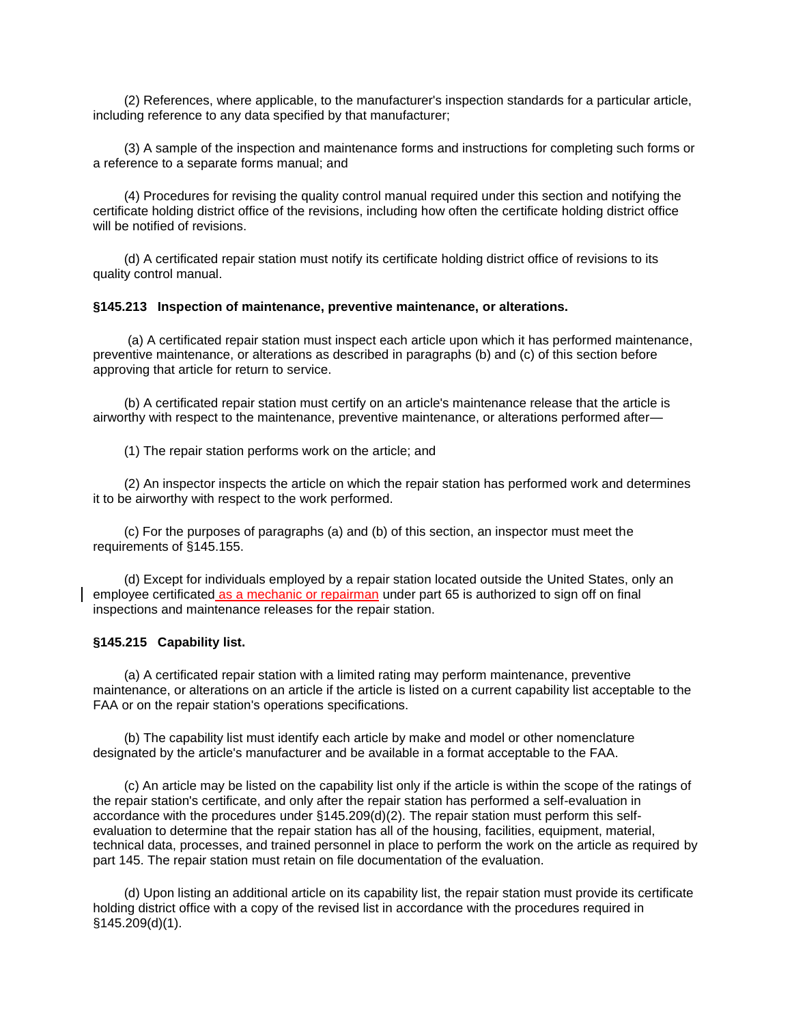(2) References, where applicable, to the manufacturer's inspection standards for a particular article, including reference to any data specified by that manufacturer;

(3) A sample of the inspection and maintenance forms and instructions for completing such forms or a reference to a separate forms manual; and

(4) Procedures for revising the quality control manual required under this section and notifying the certificate holding district office of the revisions, including how often the certificate holding district office will be notified of revisions.

(d) A certificated repair station must notify its certificate holding district office of revisions to its quality control manual.

#### **§145.213 Inspection of maintenance, preventive maintenance, or alterations.**

(a) A certificated repair station must inspect each article upon which it has performed maintenance, preventive maintenance, or alterations as described in paragraphs (b) and (c) of this section before approving that article for return to service.

(b) A certificated repair station must certify on an article's maintenance release that the article is airworthy with respect to the maintenance, preventive maintenance, or alterations performed after—

(1) The repair station performs work on the article; and

(2) An inspector inspects the article on which the repair station has performed work and determines it to be airworthy with respect to the work performed.

(c) For the purposes of paragraphs (a) and (b) of this section, an inspector must meet the requirements of §145.155.

(d) Except for individuals employed by a repair station located outside the United States, only an employee certificated as a mechanic or repairman under part 65 is authorized to sign off on final inspections and maintenance releases for the repair station.

# **§145.215 Capability list.**

(a) A certificated repair station with a limited rating may perform maintenance, preventive maintenance, or alterations on an article if the article is listed on a current capability list acceptable to the FAA or on the repair station's operations specifications.

(b) The capability list must identify each article by make and model or other nomenclature designated by the article's manufacturer and be available in a format acceptable to the FAA.

(c) An article may be listed on the capability list only if the article is within the scope of the ratings of the repair station's certificate, and only after the repair station has performed a self-evaluation in accordance with the procedures under §145.209(d)(2). The repair station must perform this selfevaluation to determine that the repair station has all of the housing, facilities, equipment, material, technical data, processes, and trained personnel in place to perform the work on the article as required by part 145. The repair station must retain on file documentation of the evaluation.

(d) Upon listing an additional article on its capability list, the repair station must provide its certificate holding district office with a copy of the revised list in accordance with the procedures required in §145.209(d)(1).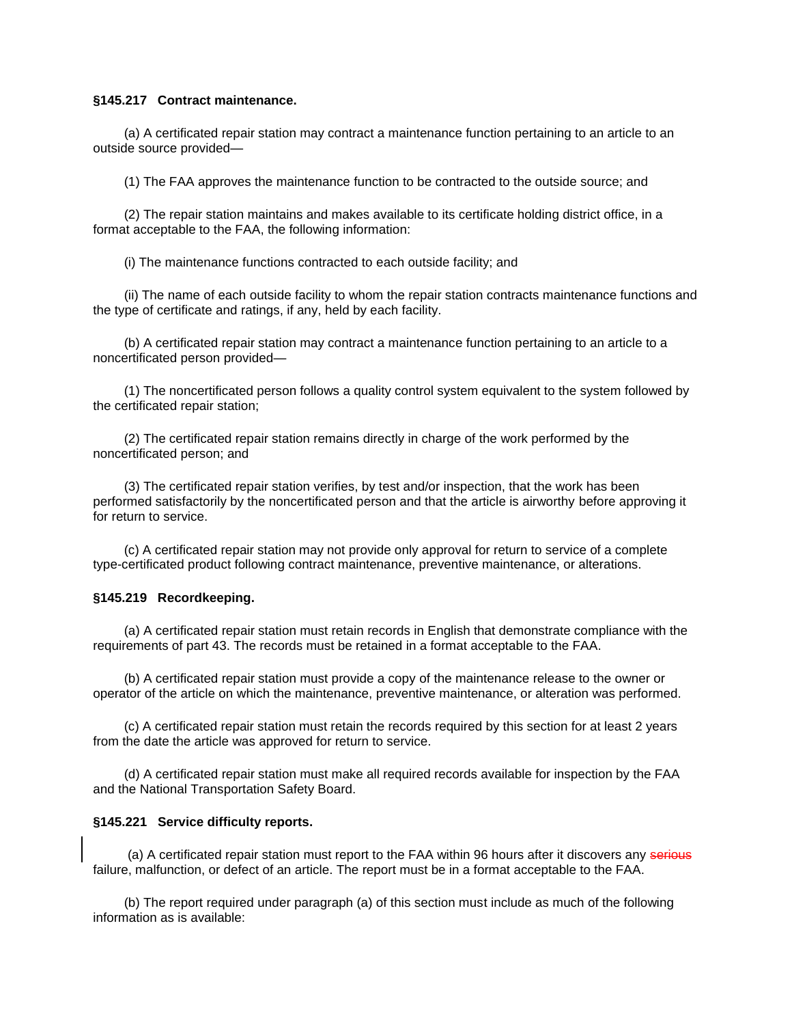#### **§145.217 Contract maintenance.**

(a) A certificated repair station may contract a maintenance function pertaining to an article to an outside source provided—

(1) The FAA approves the maintenance function to be contracted to the outside source; and

(2) The repair station maintains and makes available to its certificate holding district office, in a format acceptable to the FAA, the following information:

(i) The maintenance functions contracted to each outside facility; and

(ii) The name of each outside facility to whom the repair station contracts maintenance functions and the type of certificate and ratings, if any, held by each facility.

(b) A certificated repair station may contract a maintenance function pertaining to an article to a noncertificated person provided—

(1) The noncertificated person follows a quality control system equivalent to the system followed by the certificated repair station;

(2) The certificated repair station remains directly in charge of the work performed by the noncertificated person; and

(3) The certificated repair station verifies, by test and/or inspection, that the work has been performed satisfactorily by the noncertificated person and that the article is airworthy before approving it for return to service.

(c) A certificated repair station may not provide only approval for return to service of a complete type-certificated product following contract maintenance, preventive maintenance, or alterations.

## **§145.219 Recordkeeping.**

(a) A certificated repair station must retain records in English that demonstrate compliance with the requirements of part 43. The records must be retained in a format acceptable to the FAA.

(b) A certificated repair station must provide a copy of the maintenance release to the owner or operator of the article on which the maintenance, preventive maintenance, or alteration was performed.

(c) A certificated repair station must retain the records required by this section for at least 2 years from the date the article was approved for return to service.

(d) A certificated repair station must make all required records available for inspection by the FAA and the National Transportation Safety Board.

#### **§145.221 Service difficulty reports.**

(a) A certificated repair station must report to the FAA within 96 hours after it discovers any serious failure, malfunction, or defect of an article. The report must be in a format acceptable to the FAA.

(b) The report required under paragraph (a) of this section must include as much of the following information as is available: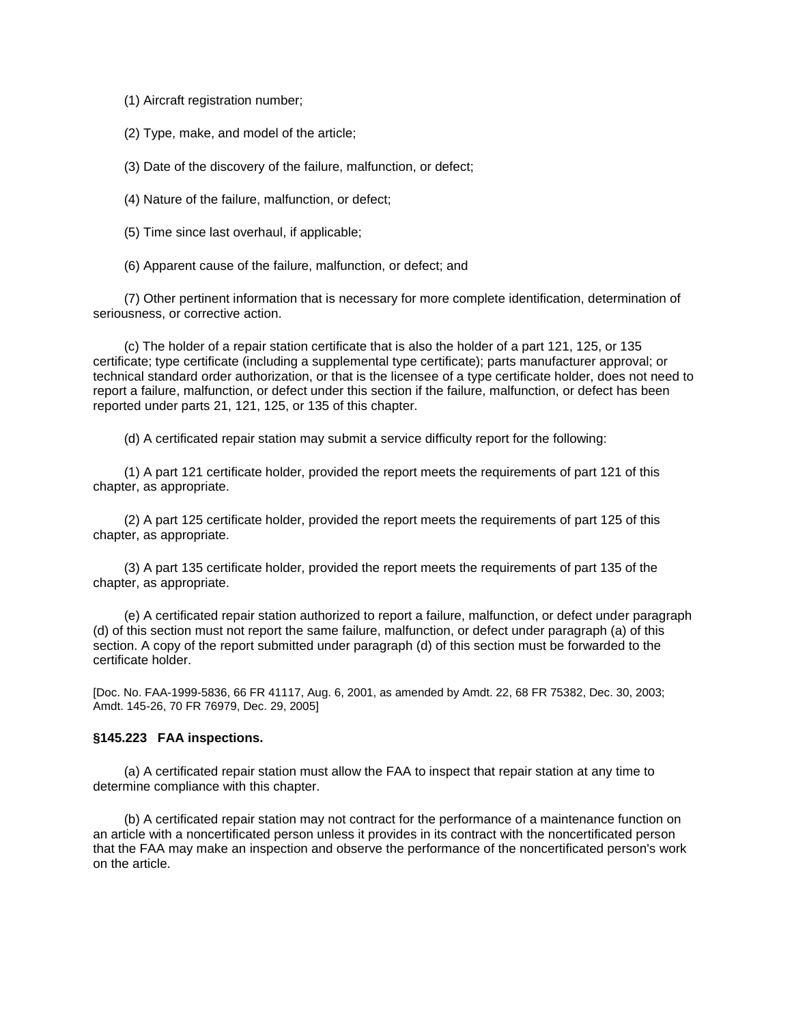(1) Aircraft registration number;

(2) Type, make, and model of the article;

(3) Date of the discovery of the failure, malfunction, or defect;

(4) Nature of the failure, malfunction, or defect;

(5) Time since last overhaul, if applicable;

(6) Apparent cause of the failure, malfunction, or defect; and

(7) Other pertinent information that is necessary for more complete identification, determination of seriousness, or corrective action.

(c) The holder of a repair station certificate that is also the holder of a part 121, 125, or 135 certificate; type certificate (including a supplemental type certificate); parts manufacturer approval; or technical standard order authorization, or that is the licensee of a type certificate holder, does not need to report a failure, malfunction, or defect under this section if the failure, malfunction, or defect has been reported under parts 21, 121, 125, or 135 of this chapter.

(d) A certificated repair station may submit a service difficulty report for the following:

(1) A part 121 certificate holder, provided the report meets the requirements of part 121 of this chapter, as appropriate.

(2) A part 125 certificate holder, provided the report meets the requirements of part 125 of this chapter, as appropriate.

(3) A part 135 certificate holder, provided the report meets the requirements of part 135 of the chapter, as appropriate.

(e) A certificated repair station authorized to report a failure, malfunction, or defect under paragraph (d) of this section must not report the same failure, malfunction, or defect under paragraph (a) of this section. A copy of the report submitted under paragraph (d) of this section must be forwarded to the certificate holder.

[Doc. No. FAA-1999-5836, 66 FR 41117, Aug. 6, 2001, as amended by Amdt. 22, 68 FR 75382, Dec. 30, 2003; Amdt. 145-26, 70 FR 76979, Dec. 29, 2005]

#### **§145.223 FAA inspections.**

(a) A certificated repair station must allow the FAA to inspect that repair station at any time to determine compliance with this chapter.

(b) A certificated repair station may not contract for the performance of a maintenance function on an article with a noncertificated person unless it provides in its contract with the noncertificated person that the FAA may make an inspection and observe the performance of the noncertificated person's work on the article.